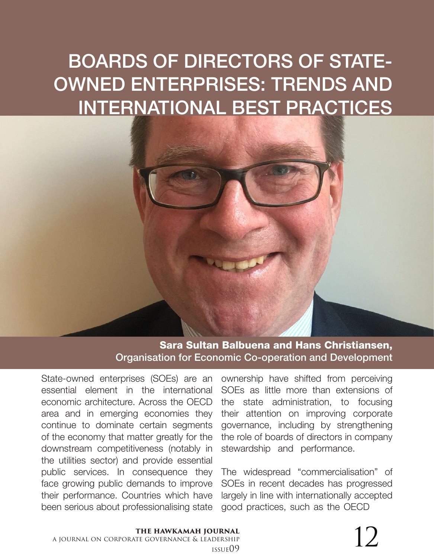# BOARDS OF DIRECTORS OF STATE-OWNED ENTERPRISES: TRENDS AND INTERNATIONAL BEST PRACTICES

Sara Sultan Balbuena and Hans Christiansen, Organisation for Economic Co-operation and Development

State-owned enterprises (SOEs) are an essential element in the international economic architecture. Across the OECD area and in emerging economies they continue to dominate certain segments of the economy that matter greatly for the downstream competitiveness (notably in the utilities sector) and provide essential public services. In consequence they face growing public demands to improve their performance. Countries which have been serious about professionalising state

ownership have shifted from perceiving SOEs as little more than extensions of the state administration, to focusing their attention on improving corporate governance, including by strengthening the role of boards of directors in company stewardship and performance.

The widespread "commercialisation" of SOEs in recent decades has progressed largely in line with internationally accepted good practices, such as the OECD

#### **the hawkamah journal** a journal on corporate governance & leadership  $\sum_{\text{DERSHIP}}$  issue09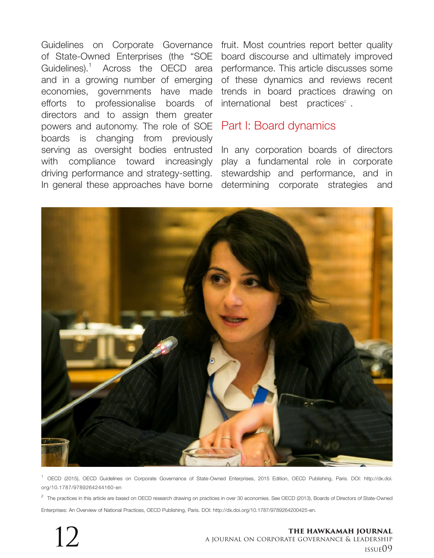Guidelines on Corporate Governance fruit. Most countries report better quality of State-Owned Enterprises (the "SOE Guidelines).1 Across the OECD area and in a growing number of emerging economies, governments have made efforts to professionalise boards of directors and to assign them greater powers and autonomy. The role of SOE boards is changing from previously serving as oversight bodies entrusted with compliance toward increasingly driving performance and strategy-setting.

board discourse and ultimately improved performance. This article discusses some of these dynamics and reviews recent trends in board practices drawing on international best practices<sup>2</sup>.

## Part I: Board dynamics

In general these approaches have borne determining corporate strategies and In any corporation boards of directors play a fundamental role in corporate stewardship and performance, and in



<sup>1</sup> OECD (2015), OECD Guidelines on Corporate Governance of State-Owned Enterprises, 2015 Edition, OECD Publishing, Paris. DOI: http://dx.doi. org/10.1787/9789264244160-en

 $^2$  The practices in this article are based on OECD research drawing on practices in over 30 economies. See OECD (2013), Boards of Directors of State-Owned Enterprises: An Overview of National Practices, OECD Publishing, Paris. DOI: http://dx.doi.org/10.1787/9789264200425-en.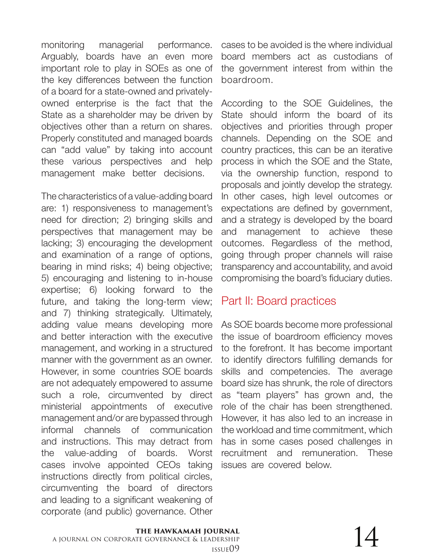monitoring managerial performance. Arguably, boards have an even more important role to play in SOEs as one of the key differences between the function of a board for a state-owned and privatelyowned enterprise is the fact that the State as a shareholder may be driven by objectives other than a return on shares. Properly constituted and managed boards can "add value" by taking into account these various perspectives and help management make better decisions.

The characteristics of a value-adding board are: 1) responsiveness to management's need for direction; 2) bringing skills and perspectives that management may be lacking; 3) encouraging the development and examination of a range of options, bearing in mind risks; 4) being objective; 5) encouraging and listening to in-house expertise; 6) looking forward to the future, and taking the long-term view; and 7) thinking strategically. Ultimately, adding value means developing more and better interaction with the executive management, and working in a structured manner with the government as an owner. However, in some countries SOE boards are not adequately empowered to assume such a role, circumvented by direct ministerial appointments of executive management and/or are bypassed through informal channels of communication and instructions. This may detract from the value-adding of boards. Worst cases involve appointed CEOs taking instructions directly from political circles, circumventing the board of directors and leading to a significant weakening of corporate (and public) governance. Other

cases to be avoided is the where individual board members act as custodians of the government interest from within the boardroom.

According to the SOE Guidelines, the State should inform the board of its objectives and priorities through proper channels. Depending on the SOE and country practices, this can be an iterative process in which the SOE and the State, via the ownership function, respond to proposals and jointly develop the strategy. In other cases, high level outcomes or expectations are defined by government, and a strategy is developed by the board and management to achieve these outcomes. Regardless of the method, going through proper channels will raise transparency and accountability, and avoid compromising the board's fiduciary duties.

# Part II: Board practices

As SOE boards become more professional the issue of boardroom efficiency moves to the forefront. It has become important to identify directors fulfilling demands for skills and competencies. The average board size has shrunk, the role of directors as "team players" has grown and, the role of the chair has been strengthened. However, it has also led to an increase in the workload and time commitment, which has in some cases posed challenges in recruitment and remuneration. These issues are covered below.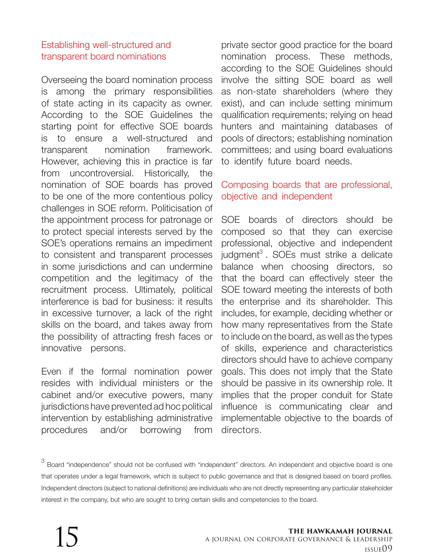## Establishing well-structured and transparent board nominations

Overseeing the board nomination process is among the primary responsibilities of state acting in its capacity as owner. According to the SOE Guidelines the starting point for effective SOE boards is to ensure a well-structured and transparent nomination framework. However, achieving this in practice is far from uncontroversial. Historically, the nomination of SOE boards has proved to be one of the more contentious policy challenges in SOE reform. Politicisation of the appointment process for patronage or to protect special interests served by the SOE's operations remains an impediment to consistent and transparent processes in some jurisdictions and can undermine competition and the legitimacy of the recruitment process. Ultimately, political interference is bad for business: it results in excessive turnover, a lack of the right skills on the board, and takes away from the possibility of attracting fresh faces or innovative persons.

Even if the formal nomination power resides with individual ministers or the cabinet and/or executive powers, many jurisdictions have prevented ad hoc political intervention by establishing administrative procedures and/or borrowing from

private sector good practice for the board nomination process. These methods, according to the SOE Guidelines should involve the sitting SOE board as well as non-state shareholders (where they exist), and can include setting minimum qualification requirements; relying on head hunters and maintaining databases of pools of directors; establishing nomination committees; and using board evaluations to identify future board needs.

## Composing boards that are professional, objective and independent

SOE boards of directors should be composed so that they can exercise professional, objective and independent  $judgment<sup>3</sup>$ . SOEs must strike a delicate balance when choosing directors, so that the board can effectively steer the SOE toward meeting the interests of both the enterprise and its shareholder. This includes, for example, deciding whether or how many representatives from the State to include on the board, as well as the types of skills, experience and characteristics directors should have to achieve company goals. This does not imply that the State should be passive in its ownership role. It implies that the proper conduit for State influence is communicating clear and implementable objective to the boards of directors.

 $3$  Board "independence" should not be confused with "independent" directors. An independent and objective board is one that operates under a legal framework, which is subject to public governance and that is designed based on board profiles. Independent directors (subject to national definitions) are individuals who are not directly representing any particular stakeholder interest in the company, but who are sought to bring certain skills and competencies to the board.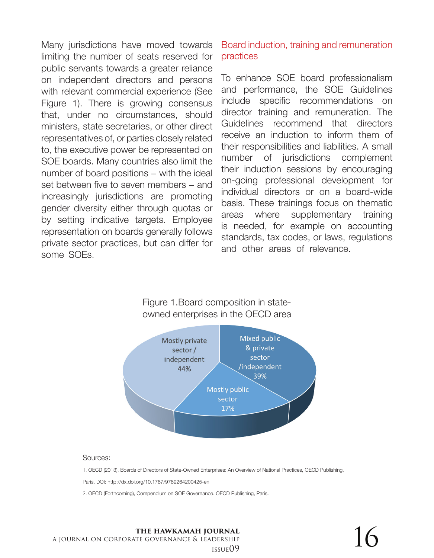Many jurisdictions have moved towards limiting the number of seats reserved for public servants towards a greater reliance on independent directors and persons with relevant commercial experience (See Figure 1). There is growing consensus that, under no circumstances, should ministers, state secretaries, or other direct representatives of, or parties closely related to, the executive power be represented on SOE boards. Many countries also limit the number of board positions – with the ideal set between five to seven members – and increasingly jurisdictions are promoting gender diversity either through quotas or by setting indicative targets. Employee representation on boards generally follows private sector practices, but can differ for some SOEs.

Board induction, training and remuneration practices

To enhance SOE board professionalism and performance, the SOE Guidelines include specific recommendations on director training and remuneration. The Guidelines recommend that directors receive an induction to inform them of their responsibilities and liabilities. A small number of jurisdictions complement their induction sessions by encouraging on-going professional development for individual directors or on a board-wide basis. These trainings focus on thematic areas where supplementary training is needed, for example on accounting standards, tax codes, or laws, regulations and other areas of relevance.

#### Figure 1.Board composition in stateowned enterprises in the OECD area



#### Sources:

1. OECD (2013), Boards of Directors of State-Owned Enterprises: An Overview of National Practices, OECD Publishing,

Paris. DOI: http://dx.doi.org/10.1787/9789264200425-en

2. OECD (Forthcoming), Compendium on SOE Governance. OECD Publishing, Paris.

**the hawkamah journal** a journal on corporate governance & leadership  $\sum_{\text{DERSHIP}}^{\text{质NMAL}}$  16